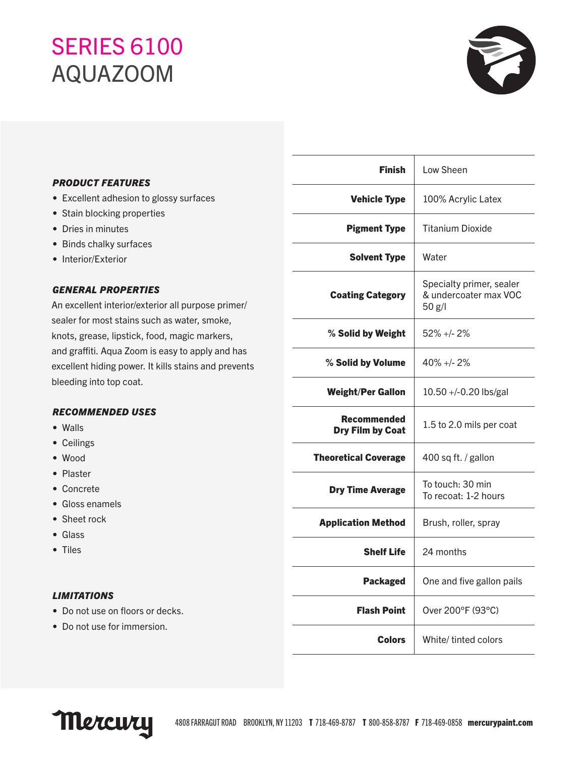# SERIES 6100 AQUAZOOM



# *PRODUCT FEATURES*

- Excellent adhesion to glossy surfaces
- Stain blocking properties
- Dries in minutes
- Binds chalky surfaces
- Interior/Exterior

# *GENERAL PROPERTIES*

An excellent interior/exterior all purpose primer/ sealer for most stains such as water, smoke, knots, grease, lipstick, food, magic markers, and graffiti. Aqua Zoom is easy to apply and has excellent hiding power. It kills stains and prevents bleeding into top coat.

## *RECOMMENDED USES*

- Walls
- Ceilings
- Wood
- Plaster
- Concrete
- Gloss enamels
- Sheet rock
- Glass
- Tiles

## *LIMITATIONS*

- Do not use on floors or decks.
- Do not use for immersion.

| <b>Finish</b>                          | Low Sheen                                                   |
|----------------------------------------|-------------------------------------------------------------|
| <b>Vehicle Type</b>                    | 100% Acrylic Latex                                          |
| <b>Pigment Type</b>                    | <b>Titanium Dioxide</b>                                     |
| <b>Solvent Type</b>                    | Water                                                       |
| <b>Coating Category</b>                | Specialty primer, sealer<br>& undercoater max VOC<br>50 g/l |
| % Solid by Weight                      | $52\% +12\%$                                                |
| % Solid by Volume                      | $40\% +12\%$                                                |
| <b>Weight/Per Gallon</b>               | 10.50 +/-0.20 lbs/gal                                       |
| <b>Recommended</b><br>Dry Film by Coat | 1.5 to 2.0 mils per coat                                    |
| <b>Theoretical Coverage</b>            | 400 sq ft. / gallon                                         |
| <b>Dry Time Average</b>                | To touch: 30 min<br>To recoat: 1-2 hours                    |
| <b>Application Method</b>              | Brush, roller, spray                                        |
| <b>Shelf Life</b>                      | 24 months                                                   |
| <b>Packaged</b>                        | One and five gallon pails                                   |
| <b>Flash Point</b>                     | Over 200°F (93°C)                                           |
| <b>Colors</b>                          | White/ tinted colors                                        |